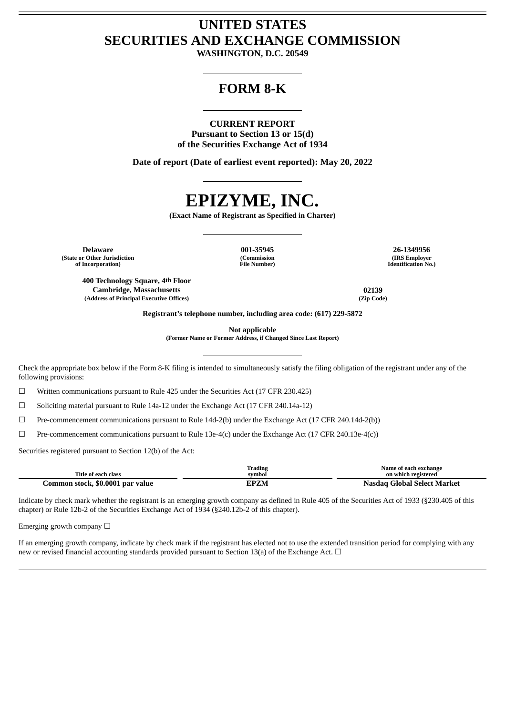## **UNITED STATES SECURITIES AND EXCHANGE COMMISSION**

**WASHINGTON, D.C. 20549**

## **FORM 8-K**

### **CURRENT REPORT**

**Pursuant to Section 13 or 15(d) of the Securities Exchange Act of 1934**

**Date of report (Date of earliest event reported): May 20, 2022**

# **EPIZYME, INC.**

**(Exact Name of Registrant as Specified in Charter)**

**Delaware 001-35945 26-1349956 (State or Other Jurisdiction of Incorporation)**

**400 Technology Square, 4th Floor Cambridge, Massachusetts 02139 (Address of Principal Executive Offices) (Zip Code)**

**(Commission File Number)**

**(IRS Employer Identification No.)**

**Registrant's telephone number, including area code: (617) 229-5872**

**Not applicable**

**(Former Name or Former Address, if Changed Since Last Report)**

Check the appropriate box below if the Form 8-K filing is intended to simultaneously satisfy the filing obligation of the registrant under any of the following provisions:

☐ Written communications pursuant to Rule 425 under the Securities Act (17 CFR 230.425)

 $\Box$  Soliciting material pursuant to Rule 14a-12 under the Exchange Act (17 CFR 240.14a-12)

☐ Pre-commencement communications pursuant to Rule 14d-2(b) under the Exchange Act (17 CFR 240.14d-2(b))

☐ Pre-commencement communications pursuant to Rule 13e-4(c) under the Exchange Act (17 CFR 240.13e-4(c))

Securities registered pursuant to Section 12(b) of the Act:

|                                  | Trading     | Name of each exchange       |
|----------------------------------|-------------|-----------------------------|
| Title of each class              | svmbol      | on which registered         |
| Common stock, \$0.0001 par value | <b>EPZM</b> | Nasdag Global Select Market |

Indicate by check mark whether the registrant is an emerging growth company as defined in Rule 405 of the Securities Act of 1933 (§230.405 of this chapter) or Rule 12b-2 of the Securities Exchange Act of 1934 (§240.12b-2 of this chapter).

Emerging growth company  $\Box$ 

If an emerging growth company, indicate by check mark if the registrant has elected not to use the extended transition period for complying with any new or revised financial accounting standards provided pursuant to Section 13(a) of the Exchange Act. □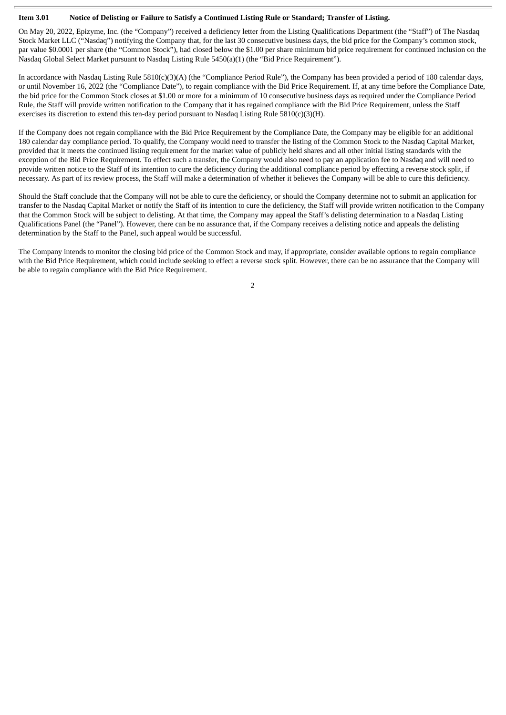#### Item 3.01 Notice of Delisting or Failure to Satisfy a Continued Listing Rule or Standard; Transfer of Listing.

On May 20, 2022, Epizyme, Inc. (the "Company") received a deficiency letter from the Listing Qualifications Department (the "Staff") of The Nasdaq Stock Market LLC ("Nasdaq") notifying the Company that, for the last 30 consecutive business days, the bid price for the Company's common stock, par value \$0.0001 per share (the "Common Stock"), had closed below the \$1.00 per share minimum bid price requirement for continued inclusion on the Nasdaq Global Select Market pursuant to Nasdaq Listing Rule 5450(a)(1) (the "Bid Price Requirement").

In accordance with Nasdaq Listing Rule 5810(c)(3)(A) (the "Compliance Period Rule"), the Company has been provided a period of 180 calendar days, or until November 16, 2022 (the "Compliance Date"), to regain compliance with the Bid Price Requirement. If, at any time before the Compliance Date, the bid price for the Common Stock closes at \$1.00 or more for a minimum of 10 consecutive business days as required under the Compliance Period Rule, the Staff will provide written notification to the Company that it has regained compliance with the Bid Price Requirement, unless the Staff exercises its discretion to extend this ten-day period pursuant to Nasdaq Listing Rule  $5810(c)(3)(H)$ .

If the Company does not regain compliance with the Bid Price Requirement by the Compliance Date, the Company may be eligible for an additional 180 calendar day compliance period. To qualify, the Company would need to transfer the listing of the Common Stock to the Nasdaq Capital Market, provided that it meets the continued listing requirement for the market value of publicly held shares and all other initial listing standards with the exception of the Bid Price Requirement. To effect such a transfer, the Company would also need to pay an application fee to Nasdaq and will need to provide written notice to the Staff of its intention to cure the deficiency during the additional compliance period by effecting a reverse stock split, if necessary. As part of its review process, the Staff will make a determination of whether it believes the Company will be able to cure this deficiency.

Should the Staff conclude that the Company will not be able to cure the deficiency, or should the Company determine not to submit an application for transfer to the Nasdaq Capital Market or notify the Staff of its intention to cure the deficiency, the Staff will provide written notification to the Company that the Common Stock will be subject to delisting. At that time, the Company may appeal the Staff's delisting determination to a Nasdaq Listing Qualifications Panel (the "Panel"). However, there can be no assurance that, if the Company receives a delisting notice and appeals the delisting determination by the Staff to the Panel, such appeal would be successful.

The Company intends to monitor the closing bid price of the Common Stock and may, if appropriate, consider available options to regain compliance with the Bid Price Requirement, which could include seeking to effect a reverse stock split. However, there can be no assurance that the Company will be able to regain compliance with the Bid Price Requirement.

 $\overline{2}$